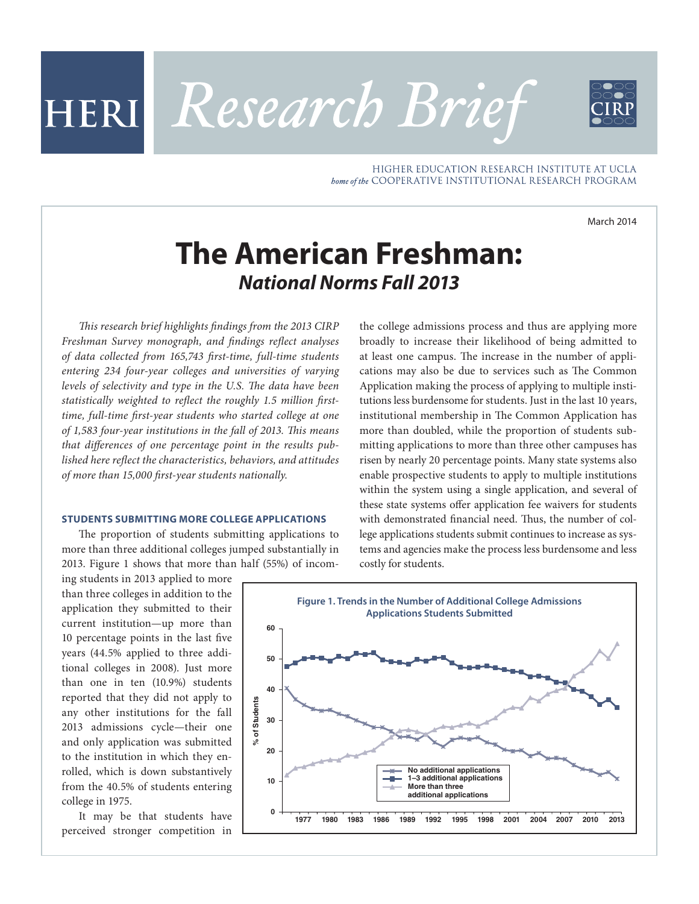HIGHER EDUCATION RESEARCH INSTITUTE AT UCLA bome of the COOPERATIVE INSTITUTIONAL RESEARCH PROGRAM

March 2014

# **The American Freshman:** *National Norms Fall 2013*

HERI Research Brief

*This research brief highlights findings from the 2013 CIRP Freshman Survey monograph, and findings reflect analyses of data collected from 165,743 first-time, full-time students entering 234 four-year colleges and universities of varying levels of selectivity and type in the U.S. The data have been statistically weighted to reflect the roughly 1.5 million firsttime, full-time first-year students who started college at one of 1,583 four-year institutions in the fall of 2013. This means that differences of one percentage point in the results published here reflect the characteristics, behaviors, and attitudes of more than 15,000 first-year students nationally.*

### **STUDENTS SUBMITTING MORE COLLEGE APPLICATIONS**

The proportion of students submitting applications to more than three additional colleges jumped substantially in 2013. Figure 1 shows that more than half (55%) of incom-

ing students in 2013 applied to more than three colleges in addition to the application they submitted to their current institution—up more than 10 percentage points in the last five years (44.5% applied to three additional colleges in 2008). Just more than one in ten (10.9%) students reported that they did not apply to any other institutions for the fall 2013 admissions cycle—their one and only application was submitted to the institution in which they enrolled, which is down substantively from the 40.5% of students entering college in 1975.

It may be that students have perceived stronger competition in the college admissions process and thus are applying more broadly to increase their likelihood of being admitted to at least one campus. The increase in the number of applications may also be due to services such as The Common Application making the process of applying to multiple institutions less burdensome for students. Just in the last 10 years, institutional membership in The Common Application has more than doubled, while the proportion of students submitting applications to more than three other campuses has risen by nearly 20 percentage points. Many state systems also enable prospective students to apply to multiple institutions within the system using a single application, and several of these state systems offer application fee waivers for students with demonstrated financial need. Thus, the number of college applications students submit continues to increase as systems and agencies make the process less burdensome and less costly for students.

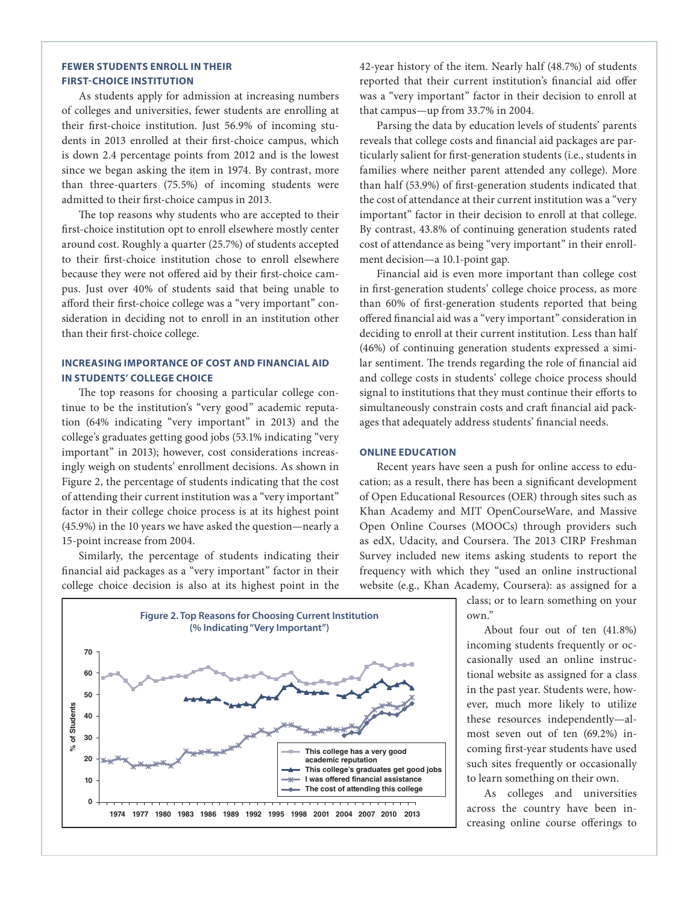## **FEWER STUDENTS ENROLL IN THEIR FIRST-CHOICE INSTITUTION**

As students apply for admission at increasing numbers of colleges and universities, fewer students are enrolling at their first-choice institution. Just 56.9% of incoming students in 2013 enrolled at their first-choice campus, which is down 2.4 percentage points from 2012 and is the lowest since we began asking the item in 1974. By contrast, more than three-quarters (75.5%) of incoming students were admitted to their first-choice campus in 2013.

The top reasons why students who are accepted to their first-choice institution opt to enroll elsewhere mostly center around cost. Roughly a quarter (25.7%) of students accepted to their first-choice institution chose to enroll elsewhere because they were not offered aid by their first-choice campus. Just over 40% of students said that being unable to afford their first-choice college was a "very important" consideration in deciding not to enroll in an institution other than their first-choice college.

# **INCREASING IMPORTANCE OF COST AND FINANCIAL AID IN STUDENTS' COLLEGE CHOICE**

The top reasons for choosing a particular college continue to be the institution's "very good" academic reputation (64% indicating "very important" in 2013) and the college's graduates getting good jobs (53.1% indicating "very important" in 2013); however, cost considerations increasingly weigh on students' enrollment decisions. As shown in Figure 2, the percentage of students indicating that the cost of attending their current institution was a "very important" factor in their college choice process is at its highest point (45.9%) in the 10 years we have asked the question—nearly a 15-point increase from 2004.

Similarly, the percentage of students indicating their financial aid packages as a "very important" factor in their college choice decision is also at its highest point in the

42-year history of the item. Nearly half (48.7%) of students reported that their current institution's financial aid offer was a "very important" factor in their decision to enroll at that campus—up from 33.7% in 2004.

Parsing the data by education levels of students' parents reveals that college costs and financial aid packages are particularly salient for first-generation students (i.e., students in families where neither parent attended any college). More than half (53.9%) of first-generation students indicated that the cost of attendance at their current institution was a "very important" factor in their decision to enroll at that college. By contrast, 43.8% of continuing generation students rated cost of attendance as being "very important" in their enrollment decision—a 10.1-point gap.

Financial aid is even more important than college cost in first-generation students' college choice process, as more than 60% of first-generation students reported that being offered financial aid was a "very important" consideration in deciding to enroll at their current institution. Less than half (46%) of continuing generation students expressed a similar sentiment. The trends regarding the role of financial aid and college costs in students' college choice process should signal to institutions that they must continue their efforts to simultaneously constrain costs and craft financial aid packages that adequately address students' financial needs.

## **ONLINE EDUCATION**

Recent years have seen a push for online access to education; as a result, there has been a significant development of Open Educational Resources (OER) through sites such as Khan Academy and MIT OpenCourseWare, and Massive Open Online Courses (MOOCs) through providers such as edX, Udacity, and Coursera. The 2013 CIRP Freshman Survey included new items asking students to report the frequency with which they "used an online instructional website (e.g., Khan Academy, Coursera): as assigned for a

> class; or to learn something on your own."

> About four out of ten (41.8%) incoming students frequently or occasionally used an online instructional website as assigned for a class in the past year. Students were, however, much more likely to utilize these resources independently—almost seven out of ten (69.2%) incoming first-year students have used such sites frequently or occasionally to learn something on their own.

> As colleges and universities across the country have been increasing online course offerings to

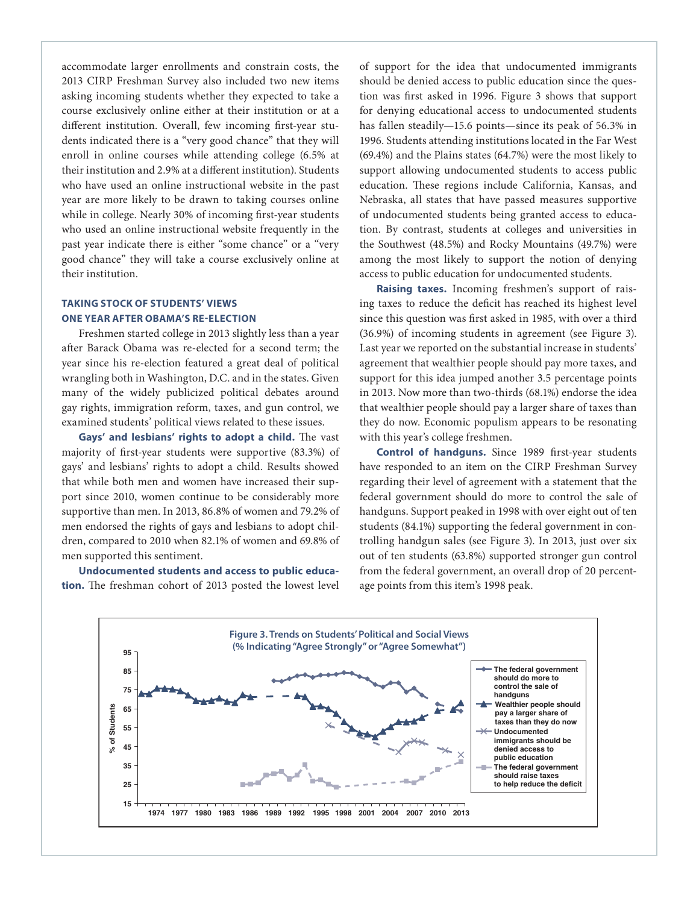accommodate larger enrollments and constrain costs, the 2013 CIRP Freshman Survey also included two new items asking incoming students whether they expected to take a course exclusively online either at their institution or at a different institution. Overall, few incoming first-year students indicated there is a "very good chance" that they will enroll in online courses while attending college (6.5% at their institution and 2.9% at a different institution). Students who have used an online instructional website in the past year are more likely to be drawn to taking courses online while in college. Nearly 30% of incoming first-year students who used an online instructional website frequently in the past year indicate there is either "some chance" or a "very good chance" they will take a course exclusively online at their institution.

# **TAKING STOCK OF STUDENTS' VIEWS ONE YEAR AFTER OBAMA'S RE-ELECTION**

Freshmen started college in 2013 slightly less than a year after Barack Obama was re-elected for a second term; the year since his re-election featured a great deal of political wrangling both in Washington, D.C. and in the states. Given many of the widely publicized political debates around gay rights, immigration reform, taxes, and gun control, we examined students' political views related to these issues.

**Gays' and lesbians' rights to adopt a child.** The vast majority of first-year students were supportive (83.3%) of gays' and lesbians' rights to adopt a child. Results showed that while both men and women have increased their support since 2010, women continue to be considerably more supportive than men. In 2013, 86.8% of women and 79.2% of men endorsed the rights of gays and lesbians to adopt children, compared to 2010 when 82.1% of women and 69.8% of men supported this sentiment.

**Undocumented students and access to public education.** The freshman cohort of 2013 posted the lowest level of support for the idea that undocumented immigrants should be denied access to public education since the question was first asked in 1996. Figure 3 shows that support for denying educational access to undocumented students has fallen steadily—15.6 points—since its peak of 56.3% in 1996. Students attending institutions located in the Far West (69.4%) and the Plains states (64.7%) were the most likely to support allowing undocumented students to access public education. These regions include California, Kansas, and Nebraska, all states that have passed measures supportive of undocumented students being granted access to education. By contrast, students at colleges and universities in the Southwest (48.5%) and Rocky Mountains (49.7%) were among the most likely to support the notion of denying access to public education for undocumented students.

**Raising taxes.** Incoming freshmen's support of raising taxes to reduce the deficit has reached its highest level since this question was first asked in 1985, with over a third (36.9%) of incoming students in agreement (see Figure 3). Last year we reported on the substantial increase in students' agreement that wealthier people should pay more taxes, and support for this idea jumped another 3.5 percentage points in 2013. Now more than two-thirds (68.1%) endorse the idea that wealthier people should pay a larger share of taxes than they do now. Economic populism appears to be resonating with this year's college freshmen.

**Control of handguns.** Since 1989 first-year students have responded to an item on the CIRP Freshman Survey regarding their level of agreement with a statement that the federal government should do more to control the sale of handguns. Support peaked in 1998 with over eight out of ten students (84.1%) supporting the federal government in controlling handgun sales (see Figure 3). In 2013, just over six out of ten students (63.8%) supported stronger gun control from the federal government, an overall drop of 20 percentage points from this item's 1998 peak.